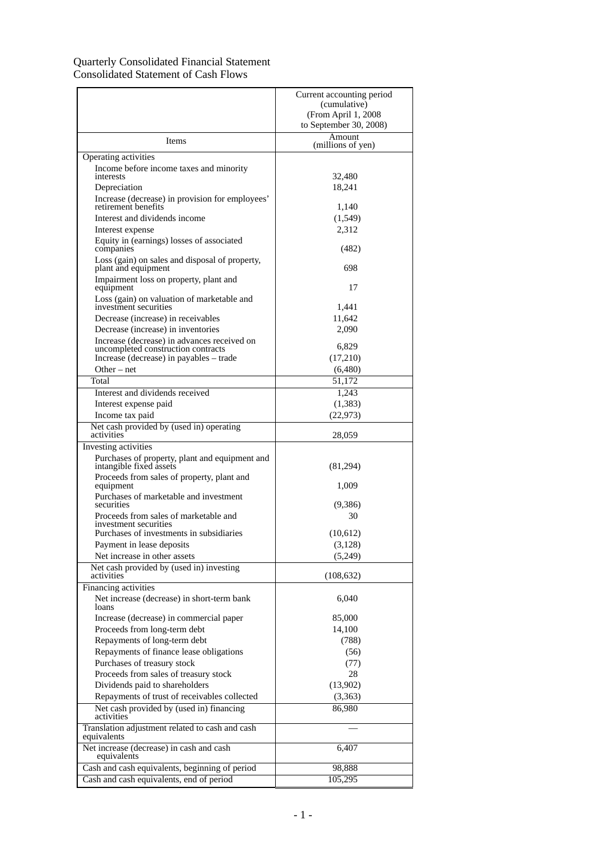## Quarterly Consolidated Financial Statement Consolidated Statement of Cash Flows

|                                                                                | Current accounting period   |
|--------------------------------------------------------------------------------|-----------------------------|
|                                                                                | (cumulative)                |
|                                                                                | (From April 1, 2008)        |
|                                                                                | to September 30, 2008)      |
| Items                                                                          | Amount<br>(millions of yen) |
| Operating activities                                                           |                             |
| Income before income taxes and minority<br>interests                           | 32,480                      |
| Depreciation                                                                   | 18,241                      |
| Increase (decrease) in provision for employees'                                |                             |
| retirement benefits                                                            | 1,140                       |
| Interest and dividends income                                                  | (1,549)                     |
| Interest expense                                                               | 2,312                       |
| Equity in (earnings) losses of associated<br>companies                         | (482)                       |
| Loss (gain) on sales and disposal of property,<br>plant and equipment          | 698                         |
| Impairment loss on property, plant and<br>equipment                            | 17                          |
| Loss (gain) on valuation of marketable and<br>investment securities            | 1,441                       |
| Decrease (increase) in receivables                                             | 11,642                      |
| Decrease (increase) in inventories                                             | 2,090                       |
| Increase (decrease) in advances received on                                    |                             |
| uncompleted construction contracts                                             | 6,829                       |
| Increase (decrease) in payables – trade                                        | (17,210)                    |
| $Other - net$                                                                  | (6,480)                     |
| Total                                                                          | 51,172                      |
| Interest and dividends received                                                | 1,243                       |
| Interest expense paid                                                          | (1, 383)                    |
| Income tax paid                                                                | (22, 973)                   |
| Net cash provided by (used in) operating<br>activities                         | 28,059                      |
| Investing activities                                                           |                             |
| Purchases of property, plant and equipment and<br>intangible fixed assets      | (81,294)                    |
| Proceeds from sales of property, plant and<br>equipment                        | 1,009                       |
| Purchases of marketable and investment<br>securities                           | (9,386)                     |
| Proceeds from sales of marketable and                                          | 30                          |
| investment securities<br>Purchases of investments in subsidiaries              | (10,612)                    |
| Payment in lease deposits                                                      | (3,128)                     |
| Net increase in other assets                                                   | (5,249)                     |
| Net cash provided by (used in) investing                                       |                             |
| activities                                                                     | (108, 632)                  |
| Financing activities                                                           |                             |
| Net increase (decrease) in short-term bank<br>loans                            | 6,040                       |
| Increase (decrease) in commercial paper                                        | 85,000                      |
| Proceeds from long-term debt                                                   | 14,100                      |
| Repayments of long-term debt                                                   | (788)                       |
| Repayments of finance lease obligations                                        | (56)                        |
| Purchases of treasury stock                                                    | (77)                        |
| Proceeds from sales of treasury stock                                          | 28                          |
| Dividends paid to shareholders<br>Repayments of trust of receivables collected | (13,902)<br>(3, 363)        |
| Net cash provided by (used in) financing                                       | 86,980                      |
| activities                                                                     |                             |
| Translation adjustment related to cash and cash<br>equivalents                 |                             |
| Net increase (decrease) in cash and cash<br>equivalents                        | 6,407                       |
| Cash and cash equivalents, beginning of period                                 | 98,888                      |
| Cash and cash equivalents, end of period                                       | 105,295                     |